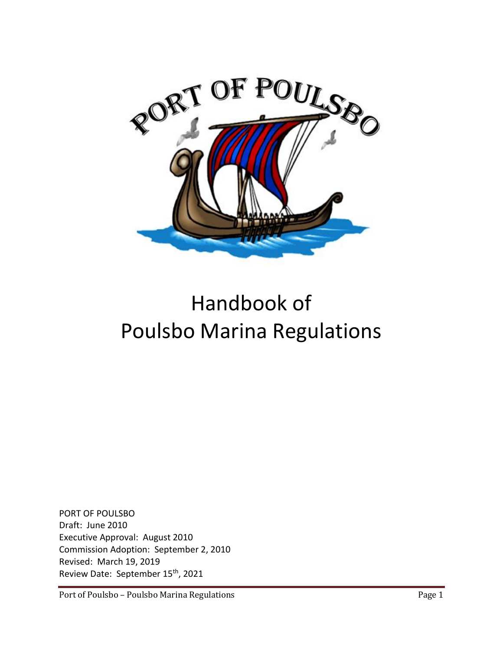

# Handbook of Poulsbo Marina Regulations

PORT OF POULSBO Draft: June 2010 Executive Approval: August 2010 Commission Adoption: September 2, 2010 Revised: March 19, 2019 Review Date: September 15<sup>th</sup>, 2021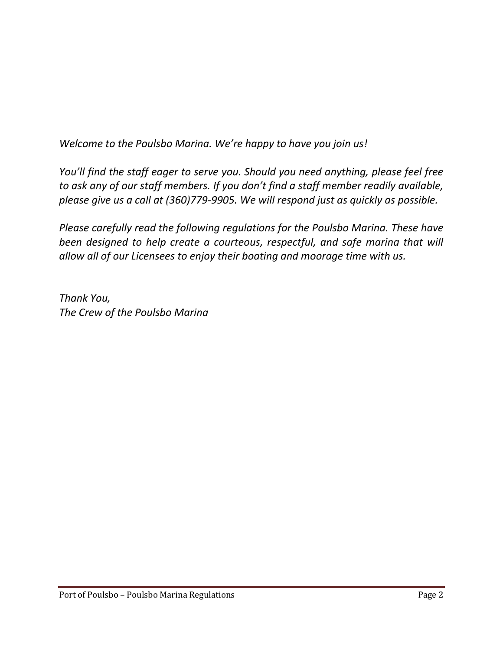*Welcome to the Poulsbo Marina. We're happy to have you join us!*

*You'll find the staff eager to serve you. Should you need anything, please feel free to ask any of our staff members. If you don't find a staff member readily available, please give us a call at (360)779-9905. We will respond just as quickly as possible.*

*Please carefully read the following regulations for the Poulsbo Marina. These have been designed to help create a courteous, respectful, and safe marina that will allow all of our Licensees to enjoy their boating and moorage time with us.*

*Thank You, The Crew of the Poulsbo Marina*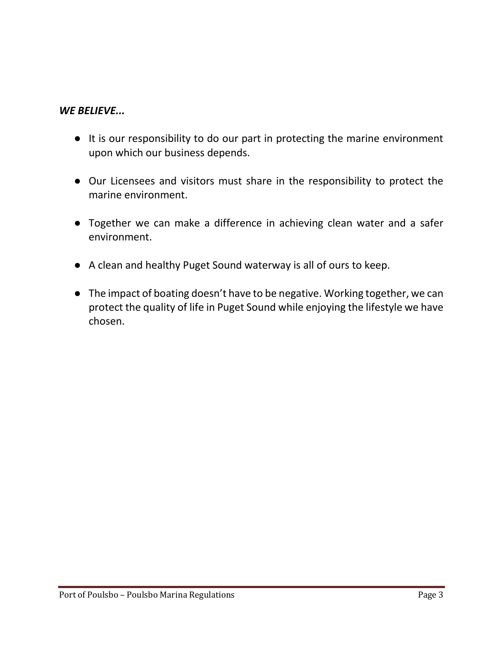# *WE BELIEVE...*

- It is our responsibility to do our part in protecting the marine environment upon which our business depends.
- Our Licensees and visitors must share in the responsibility to protect the marine environment.
- Together we can make a difference in achieving clean water and a safer environment.
- A clean and healthy Puget Sound waterway is all of ours to keep.
- The impact of boating doesn't have to be negative. Working together, we can protect the quality of life in Puget Sound while enjoying the lifestyle we have chosen.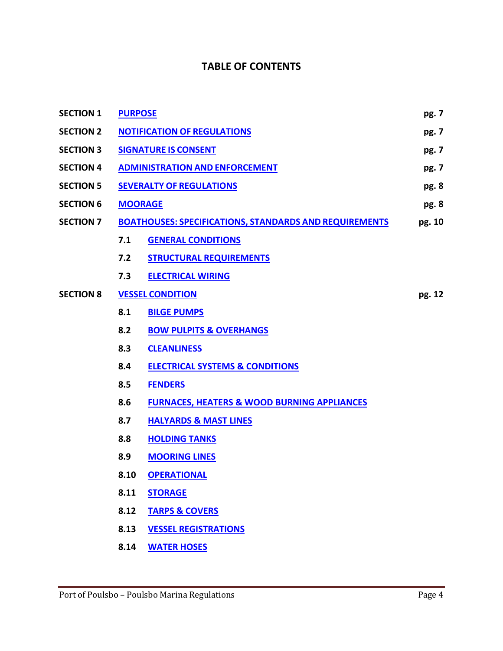# **TABLE OF CONTENTS**

| <b>SECTION 1</b> | <b>PURPOSE</b>                                                |                                                        | pg. 7 |
|------------------|---------------------------------------------------------------|--------------------------------------------------------|-------|
| <b>SECTION 2</b> | <b>NOTIFICATION OF REGULATIONS</b>                            |                                                        | pg. 7 |
| <b>SECTION 3</b> | <b>SIGNATURE IS CONSENT</b>                                   |                                                        | pg. 7 |
| <b>SECTION 4</b> | <b>ADMINISTRATION AND ENFORCEMENT</b>                         |                                                        | pg. 7 |
| <b>SECTION 5</b> | <b>SEVERALTY OF REGULATIONS</b>                               |                                                        | pg. 8 |
| <b>SECTION 6</b> | <b>MOORAGE</b>                                                |                                                        |       |
| <b>SECTION 7</b> | <b>BOATHOUSES: SPECIFICATIONS, STANDARDS AND REQUIREMENTS</b> |                                                        |       |
|                  | 7.1                                                           | <b>GENERAL CONDITIONS</b>                              |       |
|                  | 7.2                                                           | <b>STRUCTURAL REQUIREMENTS</b>                         |       |
|                  | 7.3                                                           | <b>ELECTRICAL WIRING</b>                               |       |
| <b>SECTION 8</b> | <b>VESSEL CONDITION</b>                                       |                                                        |       |
|                  | 8.1                                                           | <b>BILGE PUMPS</b>                                     |       |
|                  | 8.2                                                           | <b>BOW PULPITS &amp; OVERHANGS</b>                     |       |
|                  | 8.3                                                           | <b>CLEANLINESS</b>                                     |       |
|                  | 8.4                                                           | <b>ELECTRICAL SYSTEMS &amp; CONDITIONS</b>             |       |
|                  | 8.5                                                           | <b>FENDERS</b>                                         |       |
|                  | 8.6                                                           | <b>FURNACES, HEATERS &amp; WOOD BURNING APPLIANCES</b> |       |
|                  | 8.7                                                           | <b>HALYARDS &amp; MAST LINES</b>                       |       |
|                  | 8.8                                                           | <b>HOLDING TANKS</b>                                   |       |
|                  | 8.9                                                           | <b>MOORING LINES</b>                                   |       |
|                  | 8.10                                                          | <b>OPERATIONAL</b>                                     |       |
|                  | 8.11                                                          | <b>STORAGE</b>                                         |       |
|                  | 8.12                                                          | <b>TARPS &amp; COVERS</b>                              |       |
|                  | 8.13                                                          | <b>VESSEL REGISTRATIONS</b>                            |       |
|                  | 8.14                                                          | <b>WATER HOSES</b>                                     |       |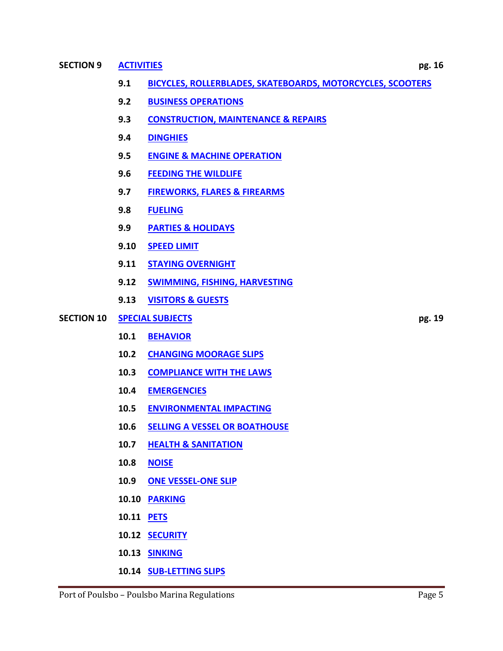#### **SECTION 9 [ACTIVITIES](#page-15-4) pg. 16**

- **9.2 [BUSINESS OPERATIONS](#page-16-0)**
- **9.3 [CONSTRUCTION, MAINTENANCE & REPAIRS](#page-16-1)**
- **9.4 [DINGHIES](#page-16-2)**
- **9.5 [ENGINE & MACHINE OPERATION](#page-17-0)**
- **9.6 [FEEDING THE WILDLIFE](#page-17-1)**
- **9.7 [FIREWORKS, FLARES & FIREARMS](#page-17-2)**
- **9.8 [FUELING](#page-17-3)**
- **9.9 [PARTIES & HOLIDAYS](#page-17-4)**
- **9.10 [SPEED LIMIT](#page-18-0)**
- **9.11 [STAYING OVERNIGHT](#page-18-1)**
- **9.12 [SWIMMING, FISHING, HARVESTING](#page-18-2)**
- **9.13 [VISITORS & GUESTS](#page-18-3)**
- **SECTION 10 SPECIAL [SUBJECTS](#page-18-4) pg. 19**
	- **10.1 [BEHAVIOR](#page-19-0)**
	- **10.2 [CHANGING MOORAGE SLIPS](#page-19-1)**
	- **10.3 [COMPLIANCE WITH THE LAWS](#page-19-2)**
	- **10.4 [EMERGENCIES](#page-19-3)**
	- **10.5 [ENVIRONMENTAL IMPACTING](#page-20-0)**
	- **10.6 [SELLING A VESSEL OR BOATHOUSE](#page-20-1)**
	- **10.7 [HEALTH & SANITATION](#page-21-0)**
	- **10.8 [NOISE](#page-22-0)**
	- **10.9 [ONE VESSEL-ONE SLIP](#page-22-1)**
	- **10.10 [PARKING](#page-22-2)**
	- **10.11 [PETS](#page-23-0)**
	- **10.12 [SECURITY](#page-23-1)**
	- **10.13 [SINKING](#page-24-0)**
	- **10.14 [SUB-LETTING SLIPS](#page-24-1)**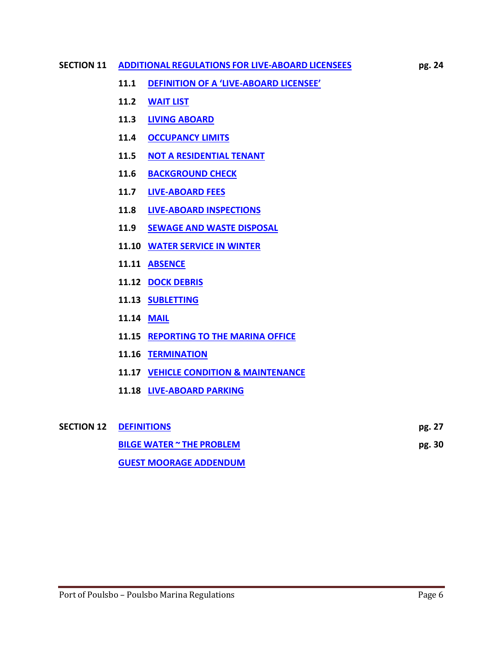#### **SECTION 11 ADDITIONAL [REGULATIONS](#page-24-2) FOR LIVE-ABOARD LICENSEES pg. 24**

- **11.1 [DEFINITION OF A 'LIVE](#page-24-3)-ABOARD LICENSEE'**
- **11.2 [WAIT LIST](#page-24-4)**
- **11.3 [LIVING ABOARD](#page-24-5)**
- **11.4 [OCCUPANCY LIMITS](#page-25-0)**
- **11.5 [NOT A RESIDENTIAL TENANT](#page-25-1)**
- **11.6 [BACKGROUND CHECK](#page-25-2)**
- **11.7 [LIVE-ABOARD FEES](#page-25-3)**
- **11.8 [LIVE-ABOARD INSPECTIONS](#page-25-4)**
- **11.9 [SEWAGE AND WASTE DISPOSAL](#page-25-5)**
- **11.10 [WATER SERVICE IN WINTER](#page-26-0)**
- **11.11 [ABSENCE](#page-26-1)**
- **11.12 [DOCK DEBRIS](#page-26-2)**
- **11.13 [SUBLETTING](#page-26-3)**
- **11.14 [MAIL](#page-26-4)**
- **11.15 [REPORTING TO THE MARINA OFFICE](#page-26-5)**
- **11.16 [TERMINATION](#page-27-0)**
- **11.17 [VEHICLE CONDITION & MAINTENANCE](#page-27-1)**
- **11.18 [LIVE-ABOARD PARKING](#page-27-2)**

| <b>SECTION 12 DEFINITIONS</b>    |        |  |
|----------------------------------|--------|--|
| <b>BILGE WATER ~ THE PROBLEM</b> | pg. 30 |  |
| <b>GUEST MOORAGE ADDENDUM</b>    |        |  |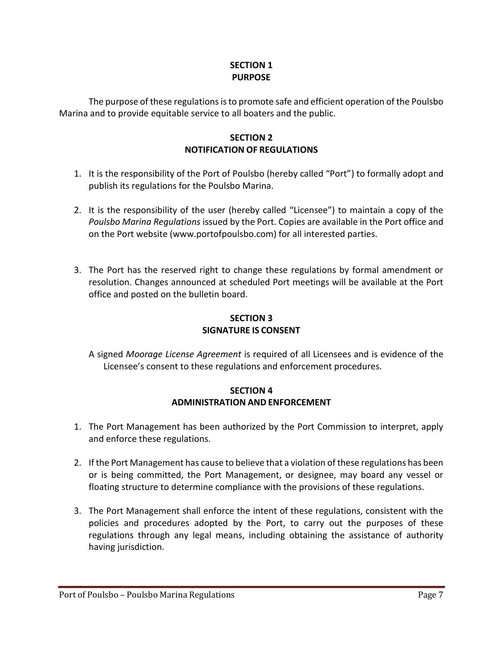## **SECTION 1 PURPOSE**

<span id="page-6-1"></span><span id="page-6-0"></span>The purpose of these regulations is to promote safe and efficient operation of the Poulsbo Marina and to provide equitable service to all boaters and the public.

## **SECTION 2 NOTIFICATION OF REGULATIONS**

- 1. It is the responsibility of the Port of Poulsbo (hereby called "Port") to formally adopt and publish its regulations for the Poulsbo Marina.
- 2. It is the responsibility of the user (hereby called "Licensee") to maintain a copy of the *Poulsbo Marina Regulations* issued by the Port. Copies are available in the Port office and on the Port website (www.portofpoulsbo.com) for all interested parties.
- 3. The Port has the reserved right to change these regulations by formal amendment or resolution. Changes announced at scheduled Port meetings will be available at the Port office and posted on the bulletin board.

# **SECTION 3 SIGNATURE IS CONSENT**

<span id="page-6-2"></span>A signed *Moorage License Agreement* is required of all Licensees and is evidence of the Licensee's consent to these regulations and enforcement procedures.

## **SECTION 4 ADMINISTRATION AND ENFORCEMENT**

- <span id="page-6-3"></span>1. The Port Management has been authorized by the Port Commission to interpret, apply and enforce these regulations.
- 2. If the Port Management has cause to believe that a violation of these regulations has been or is being committed, the Port Management, or designee, may board any vessel or floating structure to determine compliance with the provisions of these regulations.
- 3. The Port Management shall enforce the intent of these regulations, consistent with the policies and procedures adopted by the Port, to carry out the purposes of these regulations through any legal means, including obtaining the assistance of authority having jurisdiction.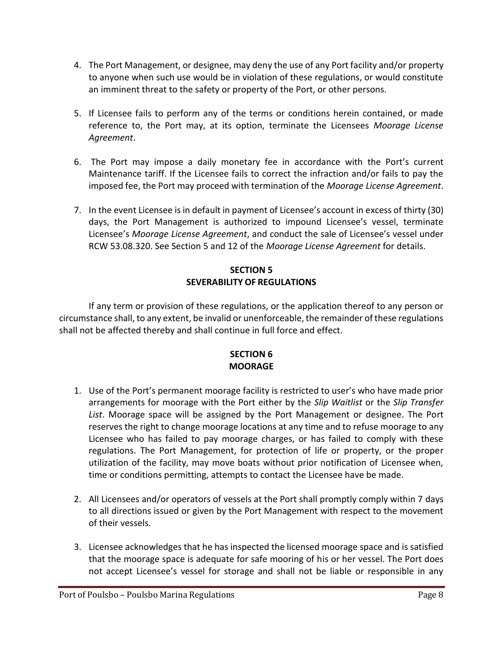- 4. The Port Management, or designee, may deny the use of any Port facility and/or property to anyone when such use would be in violation of these regulations, or would constitute an imminent threat to the safety or property of the Port, or other persons.
- 5. If Licensee fails to perform any of the terms or conditions herein contained, or made reference to, the Port may, at its option, terminate the Licensees *Moorage License Agreement*.
- 6. The Port may impose a daily monetary fee in accordance with the Port's current Maintenance tariff. If the Licensee fails to correct the infraction and/or fails to pay the imposed fee, the Port may proceed with termination of the *Moorage License Agreement*.
- 7. In the event Licensee is in default in payment of Licensee's account in excess of thirty (30) days, the Port Management is authorized to impound Licensee's vessel, terminate Licensee's *Moorage License Agreement*, and conduct the sale of Licensee's vessel under RCW 53.08.320. See Section 5 and 12 of the *Moorage License Agreement* for details.

## **SECTION 5 SEVERABILITY OF REGULATIONS**

<span id="page-7-0"></span>If any term or provision of these regulations, or the application thereof to any person or circumstance shall, to any extent, be invalid or unenforceable, the remainder of these regulations shall not be affected thereby and shall continue in full force and effect.

## **SECTION 6 MOORAGE**

- <span id="page-7-1"></span>1. Use of the Port's permanent moorage facility is restricted to user's who have made prior arrangements for moorage with the Port either by the *Slip Waitlist* or the *Slip Transfer List*. Moorage space will be assigned by the Port Management or designee. The Port reserves the right to change moorage locations at any time and to refuse moorage to any Licensee who has failed to pay moorage charges, or has failed to comply with these regulations. The Port Management, for protection of life or property, or the proper utilization of the facility, may move boats without prior notification of Licensee when, time or conditions permitting, attempts to contact the Licensee have be made.
- 2. All Licensees and/or operators of vessels at the Port shall promptly comply within 7 days to all directions issued or given by the Port Management with respect to the movement of their vessels.
- 3. Licensee acknowledges that he has inspected the licensed moorage space and is satisfied that the moorage space is adequate for safe mooring of his or her vessel. The Port does not accept Licensee's vessel for storage and shall not be liable or responsible in any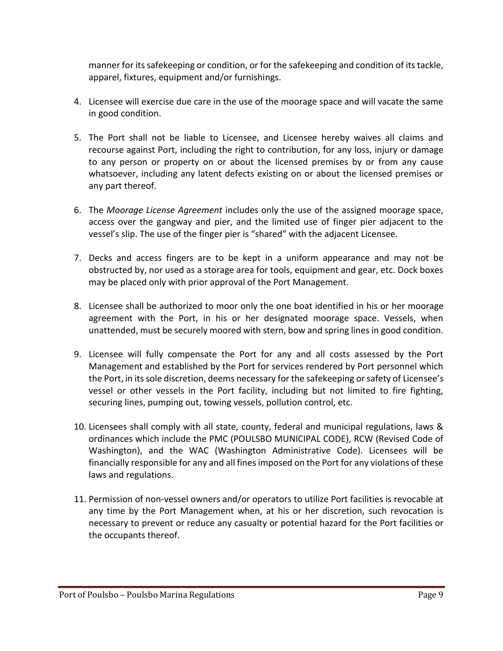manner for its safekeeping or condition, or for the safekeeping and condition of its tackle, apparel, fixtures, equipment and/or furnishings.

- 4. Licensee will exercise due care in the use of the moorage space and will vacate the same in good condition.
- 5. The Port shall not be liable to Licensee, and Licensee hereby waives all claims and recourse against Port, including the right to contribution, for any loss, injury or damage to any person or property on or about the licensed premises by or from any cause whatsoever, including any latent defects existing on or about the licensed premises or any part thereof.
- 6. The *Moorage License Agreement* includes only the use of the assigned moorage space, access over the gangway and pier, and the limited use of finger pier adjacent to the vessel's slip. The use of the finger pier is "shared" with the adjacent Licensee.
- 7. Decks and access fingers are to be kept in a uniform appearance and may not be obstructed by, nor used as a storage area for tools, equipment and gear, etc. Dock boxes may be placed only with prior approval of the Port Management.
- 8. Licensee shall be authorized to moor only the one boat identified in his or her moorage agreement with the Port, in his or her designated moorage space. Vessels, when unattended, must be securely moored with stern, bow and spring lines in good condition.
- 9. Licensee will fully compensate the Port for any and all costs assessed by the Port Management and established by the Port for services rendered by Port personnel which the Port, in its sole discretion, deems necessary for the safekeeping or safety of Licensee's vessel or other vessels in the Port facility, including but not limited to fire fighting, securing lines, pumping out, towing vessels, pollution control, etc.
- 10. Licensees shall comply with all state, county, federal and municipal regulations, laws & ordinances which include the PMC (POULSBO MUNICIPAL CODE), RCW (Revised Code of Washington), and the WAC (Washington Administrative Code). Licensees will be financially responsible for any and all fines imposed on the Port for any violations of these laws and regulations.
- 11. Permission of non-vessel owners and/or operators to utilize Port facilities is revocable at any time by the Port Management when, at his or her discretion, such revocation is necessary to prevent or reduce any casualty or potential hazard for the Port facilities or the occupants thereof.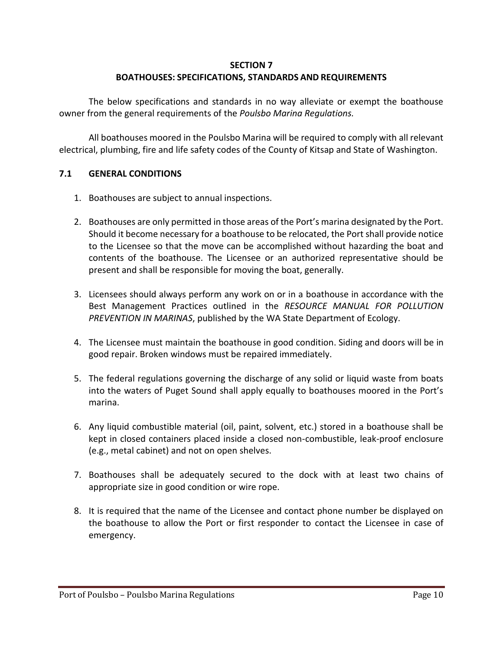#### **SECTION 7**

## **BOATHOUSES: SPECIFICATIONS, STANDARDS AND REQUIREMENTS**

<span id="page-9-0"></span>The below specifications and standards in no way alleviate or exempt the boathouse owner from the general requirements of the *Poulsbo Marina Regulations.*

All boathouses moored in the Poulsbo Marina will be required to comply with all relevant electrical, plumbing, fire and life safety codes of the County of Kitsap and State of Washington.

## <span id="page-9-1"></span>**7.1 GENERAL CONDITIONS**

- 1. Boathouses are subject to annual inspections.
- 2. Boathouses are only permitted in those areas of the Port's marina designated by the Port. Should it become necessary for a boathouse to be relocated, the Port shall provide notice to the Licensee so that the move can be accomplished without hazarding the boat and contents of the boathouse. The Licensee or an authorized representative should be present and shall be responsible for moving the boat, generally.
- 3. Licensees should always perform any work on or in a boathouse in accordance with the Best Management Practices outlined in the *RESOURCE MANUAL FOR POLLUTION PREVENTION IN MARINAS*, published by the WA State Department of Ecology.
- 4. The Licensee must maintain the boathouse in good condition. Siding and doors will be in good repair. Broken windows must be repaired immediately.
- 5. The federal regulations governing the discharge of any solid or liquid waste from boats into the waters of Puget Sound shall apply equally to boathouses moored in the Port's marina.
- 6. Any liquid combustible material (oil, paint, solvent, etc.) stored in a boathouse shall be kept in closed containers placed inside a closed non-combustible, leak-proof enclosure (e.g., metal cabinet) and not on open shelves.
- 7. Boathouses shall be adequately secured to the dock with at least two chains of appropriate size in good condition or wire rope.
- 8. It is required that the name of the Licensee and contact phone number be displayed on the boathouse to allow the Port or first responder to contact the Licensee in case of emergency.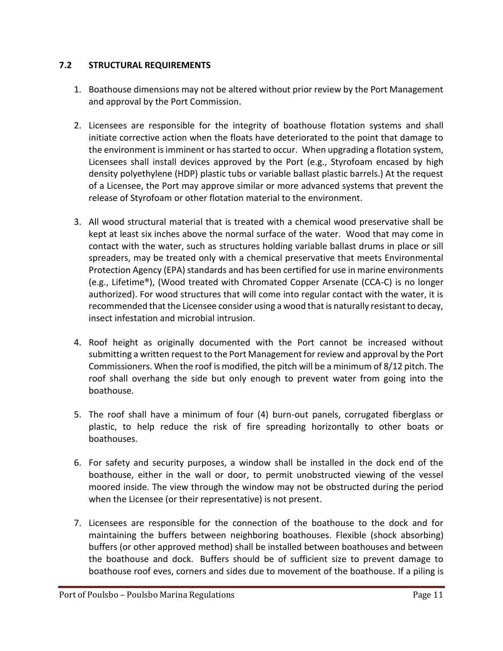## <span id="page-10-0"></span>**7.2 STRUCTURAL REQUIREMENTS**

- 1. Boathouse dimensions may not be altered without prior review by the Port Management and approval by the Port Commission.
- 2. Licensees are responsible for the integrity of boathouse flotation systems and shall initiate corrective action when the floats have deteriorated to the point that damage to the environment is imminent or has started to occur. When upgrading a flotation system, Licensees shall install devices approved by the Port (e.g., Styrofoam encased by high density polyethylene (HDP) plastic tubs or variable ballast plastic barrels.) At the request of a Licensee, the Port may approve similar or more advanced systems that prevent the release of Styrofoam or other flotation material to the environment.
- 3. All wood structural material that is treated with a chemical wood preservative shall be kept at least six inches above the normal surface of the water. Wood that may come in contact with the water, such as structures holding variable ballast drums in place or sill spreaders, may be treated only with a chemical preservative that meets Environmental Protection Agency (EPA) standards and has been certified for use in marine environments (e.g., Lifetime®), (Wood treated with Chromated Copper Arsenate (CCA-C) is no longer authorized). For wood structures that will come into regular contact with the water, it is recommended that the Licensee consider using a wood that is naturally resistant to decay, insect infestation and microbial intrusion.
- 4. Roof height as originally documented with the Port cannot be increased without submitting a written request to the Port Management for review and approval by the Port Commissioners. When the roof is modified, the pitch will be a minimum of 8/12 pitch. The roof shall overhang the side but only enough to prevent water from going into the boathouse.
- 5. The roof shall have a minimum of four (4) burn-out panels, corrugated fiberglass or plastic, to help reduce the risk of fire spreading horizontally to other boats or boathouses.
- 6. For safety and security purposes, a window shall be installed in the dock end of the boathouse, either in the wall or door, to permit unobstructed viewing of the vessel moored inside. The view through the window may not be obstructed during the period when the Licensee (or their representative) is not present.
- 7. Licensees are responsible for the connection of the boathouse to the dock and for maintaining the buffers between neighboring boathouses. Flexible (shock absorbing) buffers (or other approved method) shall be installed between boathouses and between the boathouse and dock. Buffers should be of sufficient size to prevent damage to boathouse roof eves, corners and sides due to movement of the boathouse. If a piling is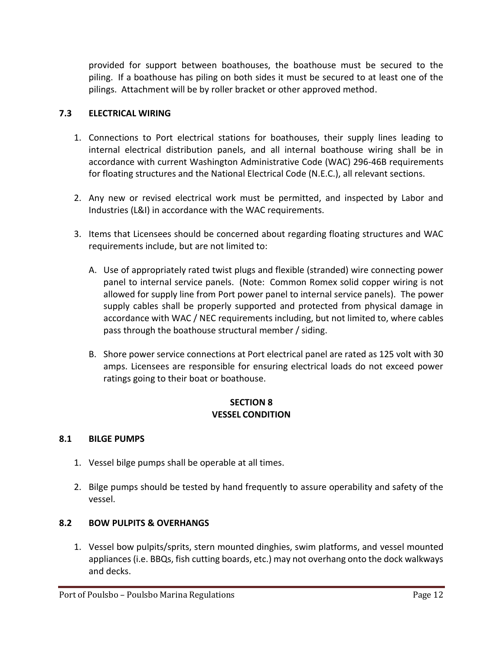provided for support between boathouses, the boathouse must be secured to the piling. If a boathouse has piling on both sides it must be secured to at least one of the pilings. Attachment will be by roller bracket or other approved method.

## <span id="page-11-0"></span>**7.3 ELECTRICAL WIRING**

- 1. Connections to Port electrical stations for boathouses, their supply lines leading to internal electrical distribution panels, and all internal boathouse wiring shall be in accordance with current Washington Administrative Code (WAC) 296-46B requirements for floating structures and the National Electrical Code (N.E.C.), all relevant sections.
- 2. Any new or revised electrical work must be permitted, and inspected by Labor and Industries (L&I) in accordance with the WAC requirements.
- 3. Items that Licensees should be concerned about regarding floating structures and WAC requirements include, but are not limited to:
	- A. Use of appropriately rated twist plugs and flexible (stranded) wire connecting power panel to internal service panels. (Note: Common Romex solid copper wiring is not allowed for supply line from Port power panel to internal service panels). The power supply cables shall be properly supported and protected from physical damage in accordance with WAC / NEC requirements including, but not limited to, where cables pass through the boathouse structural member / siding.
	- B. Shore power service connections at Port electrical panel are rated as 125 volt with 30 amps. Licensees are responsible for ensuring electrical loads do not exceed power ratings going to their boat or boathouse.

## **SECTION 8 VESSEL CONDITION**

## <span id="page-11-2"></span><span id="page-11-1"></span>**8.1 BILGE PUMPS**

- 1. Vessel bilge pumps shall be operable at all times.
- 2. Bilge pumps should be tested by hand frequently to assure operability and safety of the vessel.

## <span id="page-11-3"></span>**8.2 BOW PULPITS & OVERHANGS**

1. Vessel bow pulpits/sprits, stern mounted dinghies, swim platforms, and vessel mounted appliances (i.e. BBQs, fish cutting boards, etc.) may not overhang onto the dock walkways and decks.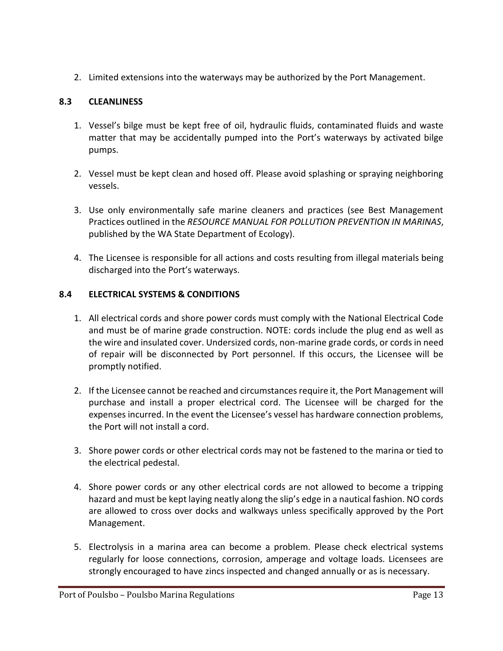2. Limited extensions into the waterways may be authorized by the Port Management.

# <span id="page-12-0"></span>**8.3 CLEANLINESS**

- 1. Vessel's bilge must be kept free of oil, hydraulic fluids, contaminated fluids and waste matter that may be accidentally pumped into the Port's waterways by activated bilge pumps.
- 2. Vessel must be kept clean and hosed off. Please avoid splashing or spraying neighboring vessels.
- 3. Use only environmentally safe marine cleaners and practices (see Best Management Practices outlined in the *RESOURCE MANUAL FOR POLLUTION PREVENTION IN MARINAS*, published by the WA State Department of Ecology).
- 4. The Licensee is responsible for all actions and costs resulting from illegal materials being discharged into the Port's waterways.

# <span id="page-12-1"></span>**8.4 ELECTRICAL SYSTEMS & CONDITIONS**

- 1. All electrical cords and shore power cords must comply with the National Electrical Code and must be of marine grade construction. NOTE: cords include the plug end as well as the wire and insulated cover. Undersized cords, non-marine grade cords, or cords in need of repair will be disconnected by Port personnel. If this occurs, the Licensee will be promptly notified.
- 2. If the Licensee cannot be reached and circumstances require it, the Port Management will purchase and install a proper electrical cord. The Licensee will be charged for the expenses incurred. In the event the Licensee's vessel has hardware connection problems, the Port will not install a cord.
- 3. Shore power cords or other electrical cords may not be fastened to the marina or tied to the electrical pedestal.
- 4. Shore power cords or any other electrical cords are not allowed to become a tripping hazard and must be kept laying neatly along the slip's edge in a nautical fashion. NO cords are allowed to cross over docks and walkways unless specifically approved by the Port Management.
- 5. Electrolysis in a marina area can become a problem. Please check electrical systems regularly for loose connections, corrosion, amperage and voltage loads. Licensees are strongly encouraged to have zincs inspected and changed annually or as is necessary.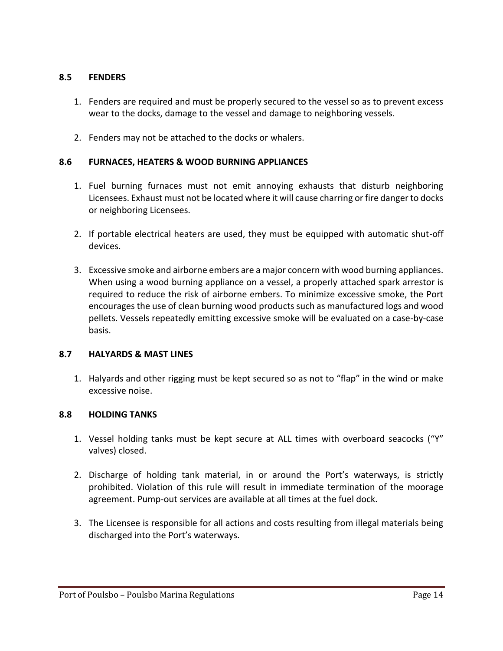#### <span id="page-13-0"></span>**8.5 FENDERS**

- 1. Fenders are required and must be properly secured to the vessel so as to prevent excess wear to the docks, damage to the vessel and damage to neighboring vessels.
- 2. Fenders may not be attached to the docks or whalers.

## <span id="page-13-1"></span>**8.6 FURNACES, HEATERS & WOOD BURNING APPLIANCES**

- 1. Fuel burning furnaces must not emit annoying exhausts that disturb neighboring Licensees. Exhaust must not be located where it will cause charring or fire danger to docks or neighboring Licensees.
- 2. If portable electrical heaters are used, they must be equipped with automatic shut-off devices.
- 3. Excessive smoke and airborne embers are a major concern with wood burning appliances. When using a wood burning appliance on a vessel, a properly attached spark arrestor is required to reduce the risk of airborne embers. To minimize excessive smoke, the Port encourages the use of clean burning wood products such as manufactured logs and wood pellets. Vessels repeatedly emitting excessive smoke will be evaluated on a case-by-case basis.

## <span id="page-13-2"></span>**8.7 HALYARDS & MAST LINES**

1. Halyards and other rigging must be kept secured so as not to "flap" in the wind or make excessive noise.

## <span id="page-13-3"></span>**8.8 HOLDING TANKS**

- 1. Vessel holding tanks must be kept secure at ALL times with overboard seacocks ("Y" valves) closed.
- 2. Discharge of holding tank material, in or around the Port's waterways, is strictly prohibited. Violation of this rule will result in immediate termination of the moorage agreement. Pump-out services are available at all times at the fuel dock.
- 3. The Licensee is responsible for all actions and costs resulting from illegal materials being discharged into the Port's waterways.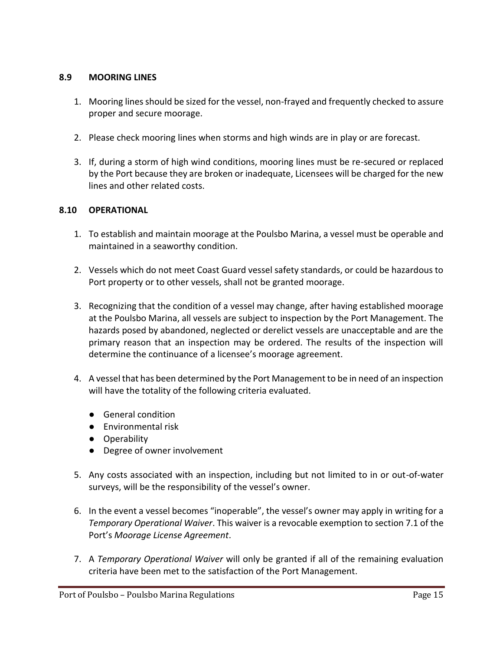## <span id="page-14-0"></span>**8.9 MOORING LINES**

- 1. Mooring lines should be sized for the vessel, non-frayed and frequently checked to assure proper and secure moorage.
- 2. Please check mooring lines when storms and high winds are in play or are forecast.
- 3. If, during a storm of high wind conditions, mooring lines must be re-secured or replaced by the Port because they are broken or inadequate, Licensees will be charged for the new lines and other related costs.

## <span id="page-14-1"></span>**8.10 OPERATIONAL**

- 1. To establish and maintain moorage at the Poulsbo Marina, a vessel must be operable and maintained in a seaworthy condition.
- 2. Vessels which do not meet Coast Guard vessel safety standards, or could be hazardous to Port property or to other vessels, shall not be granted moorage.
- 3. Recognizing that the condition of a vessel may change, after having established moorage at the Poulsbo Marina, all vessels are subject to inspection by the Port Management. The hazards posed by abandoned, neglected or derelict vessels are unacceptable and are the primary reason that an inspection may be ordered. The results of the inspection will determine the continuance of a licensee's moorage agreement.
- 4. A vessel that has been determined by the Port Management to be in need of an inspection will have the totality of the following criteria evaluated.
	- General condition
	- Environmental risk
	- Operability
	- Degree of owner involvement
- 5. Any costs associated with an inspection, including but not limited to in or out-of-water surveys, will be the responsibility of the vessel's owner.
- 6. In the event a vessel becomes "inoperable", the vessel's owner may apply in writing for a *Temporary Operational Waiver*. This waiver is a revocable exemption to section 7.1 of the Port's *Moorage License Agreement*.
- 7. A *Temporary Operational Waiver* will only be granted if all of the remaining evaluation criteria have been met to the satisfaction of the Port Management.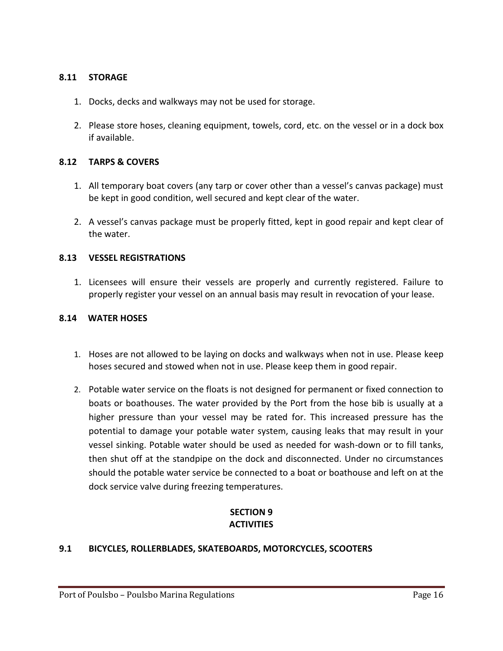#### <span id="page-15-0"></span>**8.11 STORAGE**

- 1. Docks, decks and walkways may not be used for storage.
- 2. Please store hoses, cleaning equipment, towels, cord, etc. on the vessel or in a dock box if available.

#### <span id="page-15-1"></span>**8.12 TARPS & COVERS**

- 1. All temporary boat covers (any tarp or cover other than a vessel's canvas package) must be kept in good condition, well secured and kept clear of the water.
- 2. A vessel's canvas package must be properly fitted, kept in good repair and kept clear of the water.

#### <span id="page-15-2"></span>**8.13 VESSEL REGISTRATIONS**

1. Licensees will ensure their vessels are properly and currently registered. Failure to properly register your vessel on an annual basis may result in revocation of your lease.

#### <span id="page-15-3"></span>**8.14 WATER HOSES**

- 1. Hoses are not allowed to be laying on docks and walkways when not in use. Please keep hoses secured and stowed when not in use. Please keep them in good repair.
- 2. Potable water service on the floats is not designed for permanent or fixed connection to boats or boathouses. The water provided by the Port from the hose bib is usually at a higher pressure than your vessel may be rated for. This increased pressure has the potential to damage your potable water system, causing leaks that may result in your vessel sinking. Potable water should be used as needed for wash-down or to fill tanks, then shut off at the standpipe on the dock and disconnected. Under no circumstances should the potable water service be connected to a boat or boathouse and left on at the dock service valve during freezing temperatures.

## **SECTION 9 ACTIVITIES**

#### <span id="page-15-5"></span><span id="page-15-4"></span>**9.1 BICYCLES, ROLLERBLADES, SKATEBOARDS, MOTORCYCLES, SCOOTERS**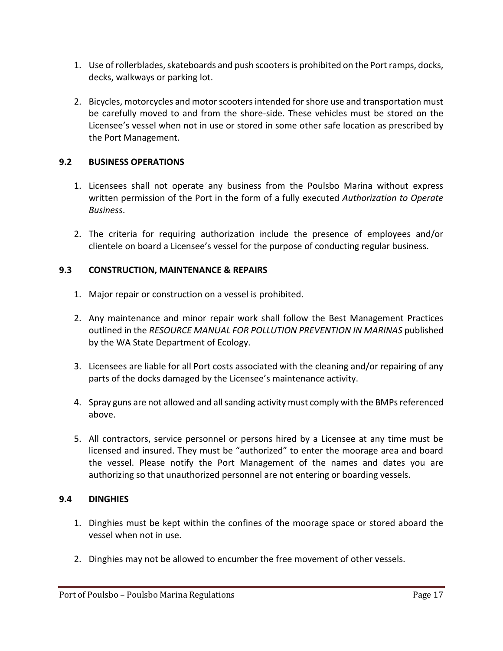- 1. Use of rollerblades, skateboards and push scooters is prohibited on the Port ramps, docks, decks, walkways or parking lot.
- 2. Bicycles, motorcycles and motor scooters intended for shore use and transportation must be carefully moved to and from the shore-side. These vehicles must be stored on the Licensee's vessel when not in use or stored in some other safe location as prescribed by the Port Management.

## <span id="page-16-0"></span>**9.2 BUSINESS OPERATIONS**

- 1. Licensees shall not operate any business from the Poulsbo Marina without express written permission of the Port in the form of a fully executed *Authorization to Operate Business*.
- 2. The criteria for requiring authorization include the presence of employees and/or clientele on board a Licensee's vessel for the purpose of conducting regular business.

## <span id="page-16-1"></span>**9.3 CONSTRUCTION, MAINTENANCE & REPAIRS**

- 1. Major repair or construction on a vessel is prohibited.
- 2. Any maintenance and minor repair work shall follow the Best Management Practices outlined in the *RESOURCE MANUAL FOR POLLUTION PREVENTION IN MARINAS* published by the WA State Department of Ecology.
- 3. Licensees are liable for all Port costs associated with the cleaning and/or repairing of any parts of the docks damaged by the Licensee's maintenance activity.
- 4. Spray guns are not allowed and all sanding activity must comply with the BMPs referenced above.
- 5. All contractors, service personnel or persons hired by a Licensee at any time must be licensed and insured. They must be "authorized" to enter the moorage area and board the vessel. Please notify the Port Management of the names and dates you are authorizing so that unauthorized personnel are not entering or boarding vessels.

## <span id="page-16-2"></span>**9.4 DINGHIES**

- 1. Dinghies must be kept within the confines of the moorage space or stored aboard the vessel when not in use.
- 2. Dinghies may not be allowed to encumber the free movement of other vessels.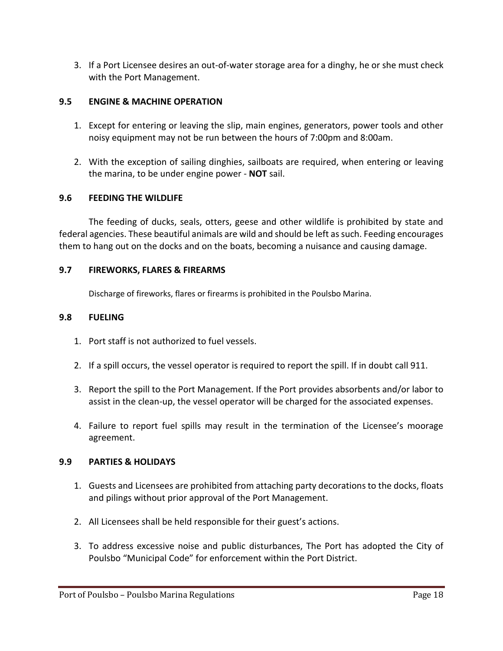3. If a Port Licensee desires an out-of-water storage area for a dinghy, he or she must check with the Port Management.

## <span id="page-17-0"></span>**9.5 ENGINE & MACHINE OPERATION**

- 1. Except for entering or leaving the slip, main engines, generators, power tools and other noisy equipment may not be run between the hours of 7:00pm and 8:00am.
- 2. With the exception of sailing dinghies, sailboats are required, when entering or leaving the marina, to be under engine power - **NOT** sail.

## <span id="page-17-1"></span>**9.6 FEEDING THE WILDLIFE**

The feeding of ducks, seals, otters, geese and other wildlife is prohibited by state and federal agencies. These beautiful animals are wild and should be left as such. Feeding encourages them to hang out on the docks and on the boats, becoming a nuisance and causing damage.

## <span id="page-17-2"></span>**9.7 FIREWORKS, FLARES & FIREARMS**

Discharge of fireworks, flares or firearms is prohibited in the Poulsbo Marina.

#### <span id="page-17-3"></span>**9.8 FUELING**

- 1. Port staff is not authorized to fuel vessels.
- 2. If a spill occurs, the vessel operator is required to report the spill. If in doubt call 911.
- 3. Report the spill to the Port Management. If the Port provides absorbents and/or labor to assist in the clean-up, the vessel operator will be charged for the associated expenses.
- 4. Failure to report fuel spills may result in the termination of the Licensee's moorage agreement.

## <span id="page-17-4"></span>**9.9 PARTIES & HOLIDAYS**

- 1. Guests and Licensees are prohibited from attaching party decorations to the docks, floats and pilings without prior approval of the Port Management.
- 2. All Licensees shall be held responsible for their guest's actions.
- 3. To address excessive noise and public disturbances, The Port has adopted the City of Poulsbo "Municipal Code" for enforcement within the Port District.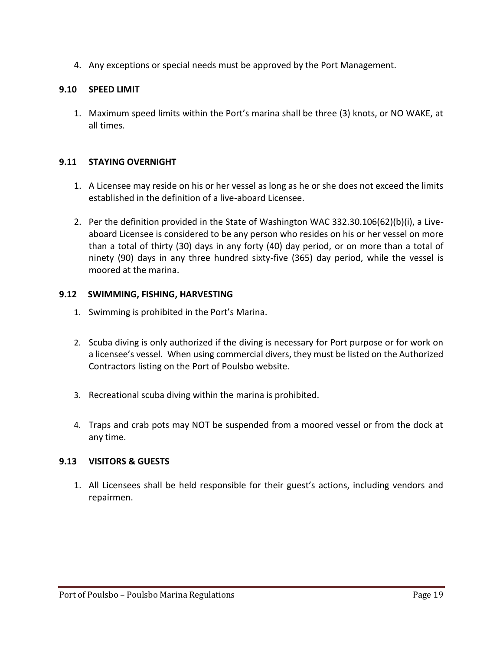4. Any exceptions or special needs must be approved by the Port Management.

## <span id="page-18-0"></span>**9.10 SPEED LIMIT**

1. Maximum speed limits within the Port's marina shall be three (3) knots, or NO WAKE, at all times.

## <span id="page-18-1"></span>**9.11 STAYING OVERNIGHT**

- 1. A Licensee may reside on his or her vessel as long as he or she does not exceed the limits established in the definition of a live-aboard Licensee.
- 2. Per the definition provided in the State of Washington WAC 332.30.106(62)(b)(i), a Liveaboard Licensee is considered to be any person who resides on his or her vessel on more than a total of thirty (30) days in any forty (40) day period, or on more than a total of ninety (90) days in any three hundred sixty-five (365) day period, while the vessel is moored at the marina.

## <span id="page-18-2"></span>**9.12 SWIMMING, FISHING, HARVESTING**

- 1. Swimming is prohibited in the Port's Marina.
- 2. Scuba diving is only authorized if the diving is necessary for Port purpose or for work on a licensee's vessel. When using commercial divers, they must be listed on the Authorized Contractors listing on the Port of Poulsbo website.
- 3. Recreational scuba diving within the marina is prohibited.
- 4. Traps and crab pots may NOT be suspended from a moored vessel or from the dock at any time.

## <span id="page-18-3"></span>**9.13 VISITORS & GUESTS**

<span id="page-18-4"></span>1. All Licensees shall be held responsible for their guest's actions, including vendors and repairmen.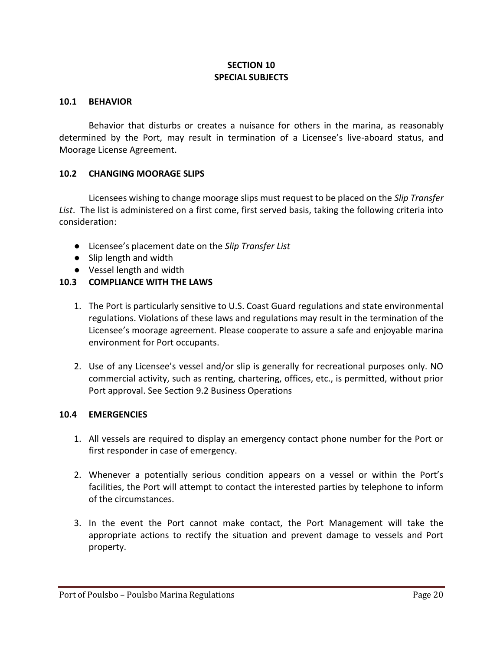## **SECTION 10 SPECIAL SUBJECTS**

#### <span id="page-19-0"></span>**10.1 BEHAVIOR**

Behavior that disturbs or creates a nuisance for others in the marina, as reasonably determined by the Port, may result in termination of a Licensee's live-aboard status, and Moorage License Agreement.

#### <span id="page-19-1"></span>**10.2 CHANGING MOORAGE SLIPS**

Licensees wishing to change moorage slips must request to be placed on the *Slip Transfer List*. The list is administered on a first come, first served basis, taking the following criteria into consideration:

- Licensee's placement date on the *Slip Transfer List*
- Slip length and width
- Vessel length and width

## <span id="page-19-2"></span>**10.3 COMPLIANCE WITH THE LAWS**

- 1. The Port is particularly sensitive to U.S. Coast Guard regulations and state environmental regulations. Violations of these laws and regulations may result in the termination of the Licensee's moorage agreement. Please cooperate to assure a safe and enjoyable marina environment for Port occupants.
- 2. Use of any Licensee's vessel and/or slip is generally for recreational purposes only. NO commercial activity, such as renting, chartering, offices, etc., is permitted, without prior Port approval. See Section 9.2 Business Operations

#### <span id="page-19-3"></span>**10.4 EMERGENCIES**

- 1. All vessels are required to display an emergency contact phone number for the Port or first responder in case of emergency.
- 2. Whenever a potentially serious condition appears on a vessel or within the Port's facilities, the Port will attempt to contact the interested parties by telephone to inform of the circumstances.
- 3. In the event the Port cannot make contact, the Port Management will take the appropriate actions to rectify the situation and prevent damage to vessels and Port property.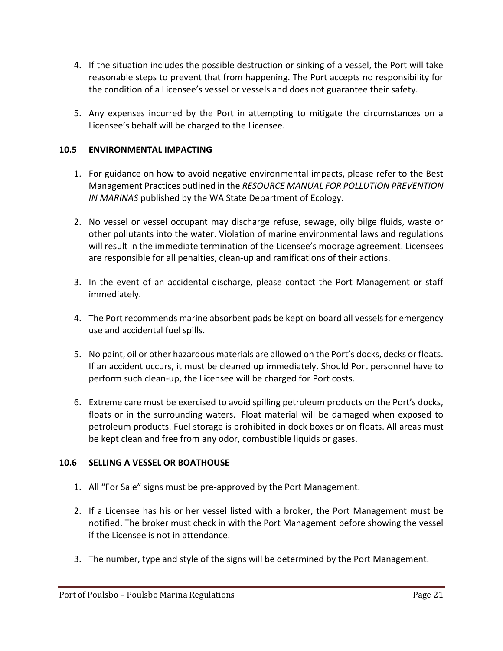- 4. If the situation includes the possible destruction or sinking of a vessel, the Port will take reasonable steps to prevent that from happening. The Port accepts no responsibility for the condition of a Licensee's vessel or vessels and does not guarantee their safety.
- 5. Any expenses incurred by the Port in attempting to mitigate the circumstances on a Licensee's behalf will be charged to the Licensee.

## <span id="page-20-0"></span>**10.5 ENVIRONMENTAL IMPACTING**

- 1. For guidance on how to avoid negative environmental impacts, please refer to the Best Management Practices outlined in the *RESOURCE MANUAL FOR POLLUTION PREVENTION IN MARINAS* published by the WA State Department of Ecology.
- 2. No vessel or vessel occupant may discharge refuse, sewage, oily bilge fluids, waste or other pollutants into the water. Violation of marine environmental laws and regulations will result in the immediate termination of the Licensee's moorage agreement. Licensees are responsible for all penalties, clean-up and ramifications of their actions.
- 3. In the event of an accidental discharge, please contact the Port Management or staff immediately.
- 4. The Port recommends marine absorbent pads be kept on board all vessels for emergency use and accidental fuel spills.
- 5. No paint, oil or other hazardous materials are allowed on the Port's docks, decks or floats. If an accident occurs, it must be cleaned up immediately. Should Port personnel have to perform such clean-up, the Licensee will be charged for Port costs.
- 6. Extreme care must be exercised to avoid spilling petroleum products on the Port's docks, floats or in the surrounding waters. Float material will be damaged when exposed to petroleum products. Fuel storage is prohibited in dock boxes or on floats. All areas must be kept clean and free from any odor, combustible liquids or gases.

## <span id="page-20-1"></span>**10.6 SELLING A VESSEL OR BOATHOUSE**

- 1. All "For Sale" signs must be pre-approved by the Port Management.
- 2. If a Licensee has his or her vessel listed with a broker, the Port Management must be notified. The broker must check in with the Port Management before showing the vessel if the Licensee is not in attendance.
- 3. The number, type and style of the signs will be determined by the Port Management.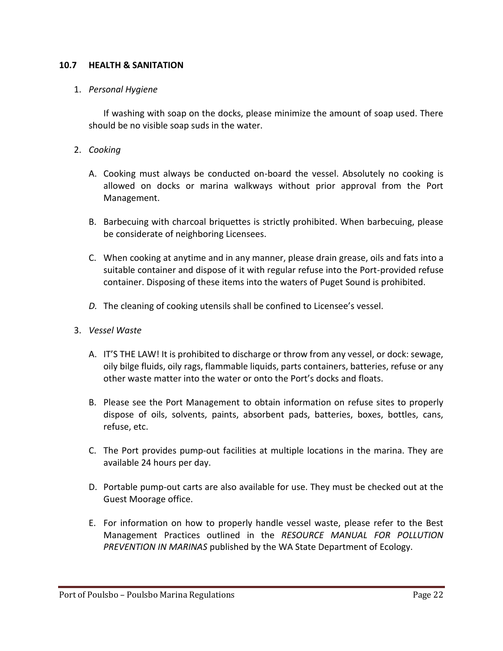#### <span id="page-21-0"></span>**10.7 HEALTH & SANITATION**

#### 1. *Personal Hygiene*

If washing with soap on the docks, please minimize the amount of soap used. There should be no visible soap suds in the water.

- 2. *Cooking*
	- A. Cooking must always be conducted on-board the vessel. Absolutely no cooking is allowed on docks or marina walkways without prior approval from the Port Management.
	- B. Barbecuing with charcoal briquettes is strictly prohibited. When barbecuing, please be considerate of neighboring Licensees.
	- C. When cooking at anytime and in any manner, please drain grease, oils and fats into a suitable container and dispose of it with regular refuse into the Port-provided refuse container. Disposing of these items into the waters of Puget Sound is prohibited.
	- *D.* The cleaning of cooking utensils shall be confined to Licensee's vessel.
- 3. *Vessel Waste*
	- A. IT'S THE LAW! It is prohibited to discharge or throw from any vessel, or dock: sewage, oily bilge fluids, oily rags, flammable liquids, parts containers, batteries, refuse or any other waste matter into the water or onto the Port's docks and floats.
	- B. Please see the Port Management to obtain information on refuse sites to properly dispose of oils, solvents, paints, absorbent pads, batteries, boxes, bottles, cans, refuse, etc.
	- C. The Port provides pump-out facilities at multiple locations in the marina. They are available 24 hours per day.
	- D. Portable pump-out carts are also available for use. They must be checked out at the Guest Moorage office.
	- E. For information on how to properly handle vessel waste, please refer to the Best Management Practices outlined in the *RESOURCE MANUAL FOR POLLUTION PREVENTION IN MARINAS* published by the WA State Department of Ecology.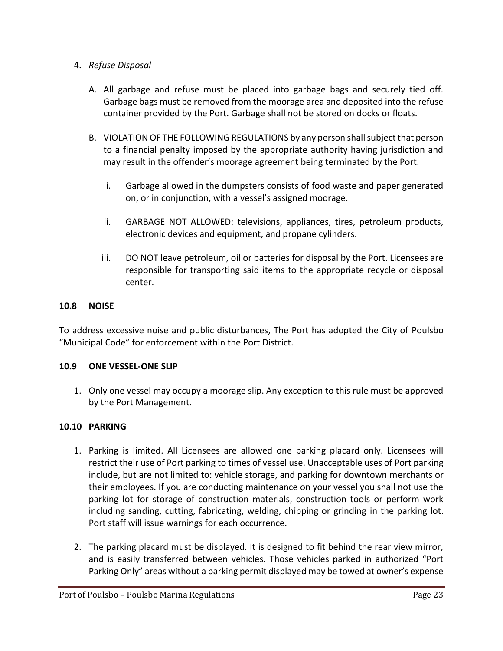## 4. *Refuse Disposal*

- A. All garbage and refuse must be placed into garbage bags and securely tied off. Garbage bags must be removed from the moorage area and deposited into the refuse container provided by the Port. Garbage shall not be stored on docks or floats.
- B. VIOLATION OF THE FOLLOWING REGULATIONS by any person shall subject that person to a financial penalty imposed by the appropriate authority having jurisdiction and may result in the offender's moorage agreement being terminated by the Port.
	- i. Garbage allowed in the dumpsters consists of food waste and paper generated on, or in conjunction, with a vessel's assigned moorage.
	- ii. GARBAGE NOT ALLOWED: televisions, appliances, tires, petroleum products, electronic devices and equipment, and propane cylinders.
	- iii. DO NOT leave petroleum, oil or batteries for disposal by the Port. Licensees are responsible for transporting said items to the appropriate recycle or disposal center.

## <span id="page-22-0"></span>**10.8 NOISE**

To address excessive noise and public disturbances, The Port has adopted the City of Poulsbo "Municipal Code" for enforcement within the Port District.

## <span id="page-22-1"></span>**10.9 ONE VESSEL-ONE SLIP**

1. Only one vessel may occupy a moorage slip. Any exception to this rule must be approved by the Port Management.

## <span id="page-22-2"></span>**10.10 PARKING**

- 1. Parking is limited. All Licensees are allowed one parking placard only. Licensees will restrict their use of Port parking to times of vessel use. Unacceptable uses of Port parking include, but are not limited to: vehicle storage, and parking for downtown merchants or their employees. If you are conducting maintenance on your vessel you shall not use the parking lot for storage of construction materials, construction tools or perform work including sanding, cutting, fabricating, welding, chipping or grinding in the parking lot. Port staff will issue warnings for each occurrence.
- 2. The parking placard must be displayed. It is designed to fit behind the rear view mirror, and is easily transferred between vehicles. Those vehicles parked in authorized "Port Parking Only" areas without a parking permit displayed may be towed at owner's expense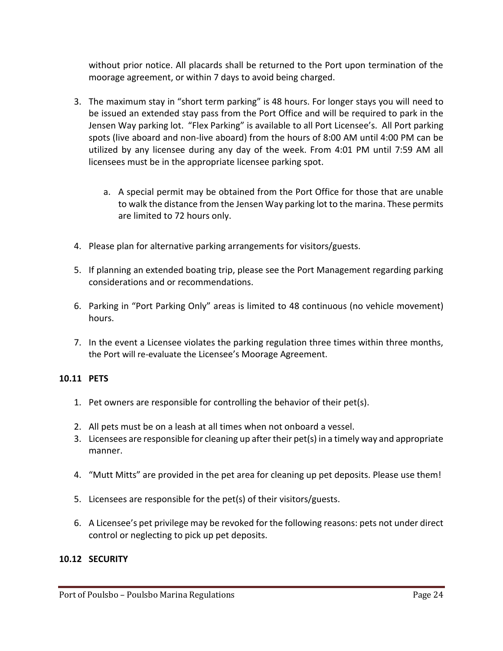without prior notice. All placards shall be returned to the Port upon termination of the moorage agreement, or within 7 days to avoid being charged.

- 3. The maximum stay in "short term parking" is 48 hours. For longer stays you will need to be issued an extended stay pass from the Port Office and will be required to park in the Jensen Way parking lot. "Flex Parking" is available to all Port Licensee's. All Port parking spots (live aboard and non-live aboard) from the hours of 8:00 AM until 4:00 PM can be utilized by any licensee during any day of the week. From 4:01 PM until 7:59 AM all licensees must be in the appropriate licensee parking spot.
	- a. A special permit may be obtained from the Port Office for those that are unable to walk the distance from the Jensen Way parking lot to the marina. These permits are limited to 72 hours only.
- 4. Please plan for alternative parking arrangements for visitors/guests.
- 5. If planning an extended boating trip, please see the Port Management regarding parking considerations and or recommendations.
- 6. Parking in "Port Parking Only" areas is limited to 48 continuous (no vehicle movement) hours.
- 7. In the event a Licensee violates the parking regulation three times within three months, the Port will re-evaluate the Licensee's Moorage Agreement.

## <span id="page-23-0"></span>**10.11 PETS**

- 1. Pet owners are responsible for controlling the behavior of their pet(s).
- 2. All pets must be on a leash at all times when not onboard a vessel.
- 3. Licensees are responsible for cleaning up after their pet(s) in a timely way and appropriate manner.
- 4. "Mutt Mitts" are provided in the pet area for cleaning up pet deposits. Please use them!
- 5. Licensees are responsible for the pet(s) of their visitors/guests.
- 6. A Licensee's pet privilege may be revoked for the following reasons: pets not under direct control or neglecting to pick up pet deposits.

## <span id="page-23-1"></span>**10.12 SECURITY**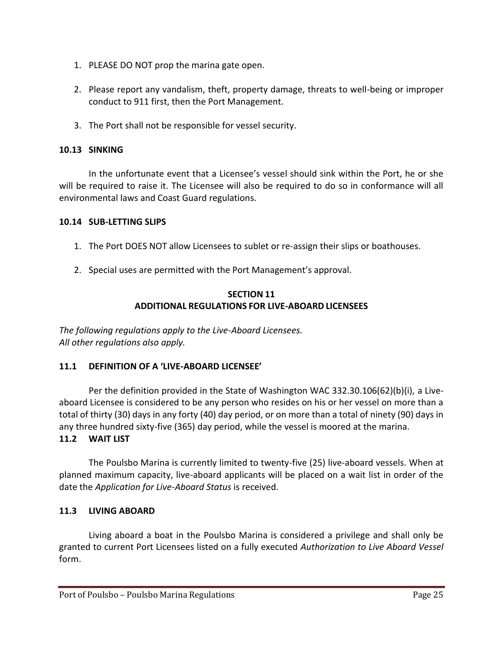- 1. PLEASE DO NOT prop the marina gate open.
- 2. Please report any vandalism, theft, property damage, threats to well-being or improper conduct to 911 first, then the Port Management.
- 3. The Port shall not be responsible for vessel security.

## <span id="page-24-0"></span>**10.13 SINKING**

In the unfortunate event that a Licensee's vessel should sink within the Port, he or she will be required to raise it. The Licensee will also be required to do so in conformance will all environmental laws and Coast Guard regulations.

## <span id="page-24-1"></span>**10.14 SUB-LETTING SLIPS**

- 1. The Port DOES NOT allow Licensees to sublet or re-assign their slips or boathouses.
- <span id="page-24-2"></span>2. Special uses are permitted with the Port Management's approval.

#### **SECTION 11 ADDITIONAL REGULATIONS FOR LIVE-ABOARD LICENSEES**

*The following regulations apply to the Live-Aboard Licensees. All other regulations also apply.*

## <span id="page-24-3"></span>**11.1 DEFINITION OF A 'LIVE-ABOARD LICENSEE'**

Per the definition provided in the State of Washington WAC 332.30.106(62)(b)(i), a Liveaboard Licensee is considered to be any person who resides on his or her vessel on more than a total of thirty (30) days in any forty (40) day period, or on more than a total of ninety (90) days in any three hundred sixty-five (365) day period, while the vessel is moored at the marina.

## <span id="page-24-4"></span>**11.2 WAIT LIST**

The Poulsbo Marina is currently limited to twenty-five (25) live-aboard vessels. When at planned maximum capacity, live-aboard applicants will be placed on a wait list in order of the date the *Application for Live-Aboard Status* is received.

## <span id="page-24-5"></span>**11.3 LIVING ABOARD**

Living aboard a boat in the Poulsbo Marina is considered a privilege and shall only be granted to current Port Licensees listed on a fully executed *Authorization to Live Aboard Vessel* form.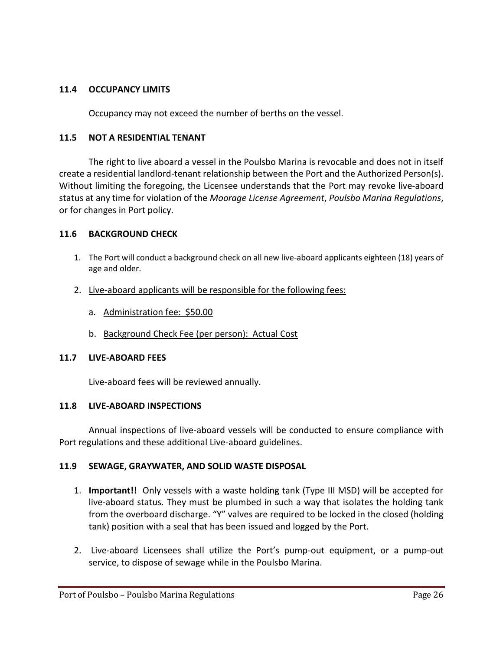#### <span id="page-25-0"></span>**11.4 OCCUPANCY LIMITS**

Occupancy may not exceed the number of berths on the vessel.

#### <span id="page-25-1"></span>**11.5 NOT A RESIDENTIAL TENANT**

The right to live aboard a vessel in the Poulsbo Marina is revocable and does not in itself create a residential landlord-tenant relationship between the Port and the Authorized Person(s). Without limiting the foregoing, the Licensee understands that the Port may revoke live-aboard status at any time for violation of the *Moorage License Agreement*, *Poulsbo Marina Regulations*, or for changes in Port policy.

#### <span id="page-25-2"></span>**11.6 BACKGROUND CHECK**

- 1. The Port will conduct a background check on all new live-aboard applicants eighteen (18) years of age and older.
- 2. Live-aboard applicants will be responsible for the following fees:
	- a. Administration fee: \$50.00
	- b. Background Check Fee (per person): Actual Cost

#### <span id="page-25-3"></span>**11.7 LIVE-ABOARD FEES**

Live-aboard fees will be reviewed annually.

#### <span id="page-25-4"></span>**11.8 LIVE-ABOARD INSPECTIONS**

Annual inspections of live-aboard vessels will be conducted to ensure compliance with Port regulations and these additional Live-aboard guidelines.

#### <span id="page-25-5"></span>**11.9 SEWAGE, GRAYWATER, AND SOLID WASTE DISPOSAL**

- 1. **Important!!** Only vessels with a waste holding tank (Type III MSD) will be accepted for live-aboard status. They must be plumbed in such a way that isolates the holding tank from the overboard discharge. "Y" valves are required to be locked in the closed (holding tank) position with a seal that has been issued and logged by the Port.
- 2. Live-aboard Licensees shall utilize the Port's pump-out equipment, or a pump-out service, to dispose of sewage while in the Poulsbo Marina.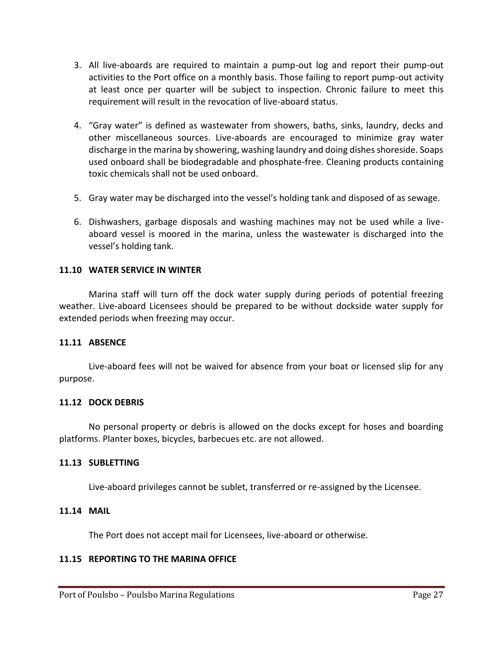- 3. All live-aboards are required to maintain a pump-out log and report their pump-out activities to the Port office on a monthly basis. Those failing to report pump-out activity at least once per quarter will be subject to inspection. Chronic failure to meet this requirement will result in the revocation of live-aboard status.
- 4. "Gray water" is defined as wastewater from showers, baths, sinks, laundry, decks and other miscellaneous sources. Live-aboards are encouraged to minimize gray water discharge in the marina by showering, washing laundry and doing dishes shoreside. Soaps used onboard shall be biodegradable and phosphate-free. Cleaning products containing toxic chemicals shall not be used onboard.
- 5. Gray water may be discharged into the vessel's holding tank and disposed of as sewage.
- 6. Dishwashers, garbage disposals and washing machines may not be used while a liveaboard vessel is moored in the marina, unless the wastewater is discharged into the vessel's holding tank.

#### <span id="page-26-0"></span>**11.10 WATER SERVICE IN WINTER**

Marina staff will turn off the dock water supply during periods of potential freezing weather. Live-aboard Licensees should be prepared to be without dockside water supply for extended periods when freezing may occur.

#### <span id="page-26-1"></span>**11.11 ABSENCE**

Live-aboard fees will not be waived for absence from your boat or licensed slip for any purpose.

#### <span id="page-26-2"></span>**11.12 DOCK DEBRIS**

No personal property or debris is allowed on the docks except for hoses and boarding platforms. Planter boxes, bicycles, barbecues etc. are not allowed.

#### <span id="page-26-3"></span>**11.13 SUBLETTING**

Live-aboard privileges cannot be sublet, transferred or re-assigned by the Licensee.

#### <span id="page-26-4"></span>**11.14 MAIL**

The Port does not accept mail for Licensees, live-aboard or otherwise.

#### <span id="page-26-5"></span>**11.15 REPORTING TO THE MARINA OFFICE**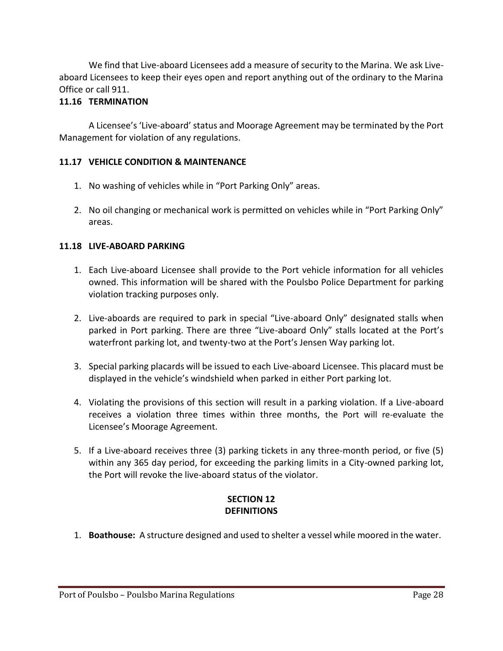We find that Live-aboard Licensees add a measure of security to the Marina. We ask Liveaboard Licensees to keep their eyes open and report anything out of the ordinary to the Marina Office or call 911.

## <span id="page-27-0"></span>**11.16 TERMINATION**

A Licensee's 'Live-aboard' status and Moorage Agreement may be terminated by the Port Management for violation of any regulations.

## <span id="page-27-1"></span>**11.17 VEHICLE CONDITION & MAINTENANCE**

- 1. No washing of vehicles while in "Port Parking Only" areas.
- 2. No oil changing or mechanical work is permitted on vehicles while in "Port Parking Only" areas.

## <span id="page-27-2"></span>**11.18 LIVE-ABOARD PARKING**

- 1. Each Live-aboard Licensee shall provide to the Port vehicle information for all vehicles owned. This information will be shared with the Poulsbo Police Department for parking violation tracking purposes only.
- 2. Live-aboards are required to park in special "Live-aboard Only" designated stalls when parked in Port parking. There are three "Live-aboard Only" stalls located at the Port's waterfront parking lot, and twenty-two at the Port's Jensen Way parking lot.
- 3. Special parking placards will be issued to each Live-aboard Licensee. This placard must be displayed in the vehicle's windshield when parked in either Port parking lot.
- 4. Violating the provisions of this section will result in a parking violation. If a Live-aboard receives a violation three times within three months, the Port will re-evaluate the Licensee's Moorage Agreement.
- 5. If a Live-aboard receives three (3) parking tickets in any three-month period, or five (5) within any 365 day period, for exceeding the parking limits in a City-owned parking lot, the Port will revoke the live-aboard status of the violator.

## **SECTION 12 DEFINITIONS**

<span id="page-27-3"></span>1. **Boathouse:** A structure designed and used to shelter a vessel while moored in the water.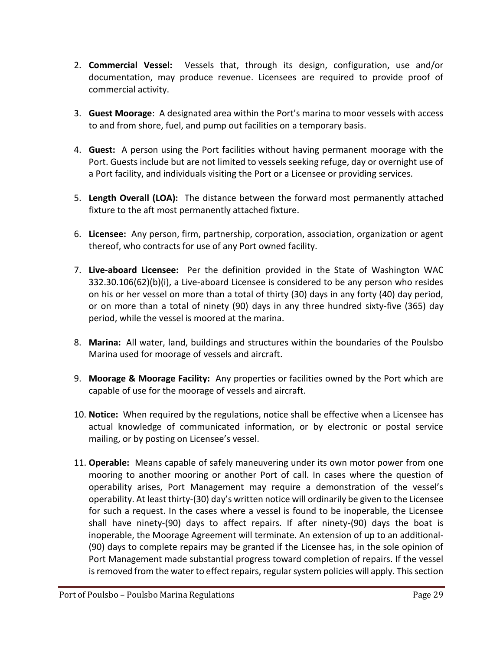- 2. **Commercial Vessel:** Vessels that, through its design, configuration, use and/or documentation, may produce revenue. Licensees are required to provide proof of commercial activity.
- 3. **Guest Moorage**: A designated area within the Port's marina to moor vessels with access to and from shore, fuel, and pump out facilities on a temporary basis.
- 4. **Guest:** A person using the Port facilities without having permanent moorage with the Port. Guests include but are not limited to vessels seeking refuge, day or overnight use of a Port facility, and individuals visiting the Port or a Licensee or providing services.
- 5. **Length Overall (LOA):** The distance between the forward most permanently attached fixture to the aft most permanently attached fixture.
- 6. **Licensee:** Any person, firm, partnership, corporation, association, organization or agent thereof, who contracts for use of any Port owned facility.
- 7. **Live-aboard Licensee:** Per the definition provided in the State of Washington WAC 332.30.106(62)(b)(i), a Live-aboard Licensee is considered to be any person who resides on his or her vessel on more than a total of thirty (30) days in any forty (40) day period, or on more than a total of ninety (90) days in any three hundred sixty-five (365) day period, while the vessel is moored at the marina.
- 8. **Marina:** All water, land, buildings and structures within the boundaries of the Poulsbo Marina used for moorage of vessels and aircraft.
- 9. **Moorage & Moorage Facility:** Any properties or facilities owned by the Port which are capable of use for the moorage of vessels and aircraft.
- 10. **Notice:** When required by the regulations, notice shall be effective when a Licensee has actual knowledge of communicated information, or by electronic or postal service mailing, or by posting on Licensee's vessel.
- 11. **Operable:** Means capable of safely maneuvering under its own motor power from one mooring to another mooring or another Port of call. In cases where the question of operability arises, Port Management may require a demonstration of the vessel's operability. At least thirty-(30) day's written notice will ordinarily be given to the Licensee for such a request. In the cases where a vessel is found to be inoperable, the Licensee shall have ninety-(90) days to affect repairs. If after ninety-(90) days the boat is inoperable, the Moorage Agreement will terminate. An extension of up to an additional- (90) days to complete repairs may be granted if the Licensee has, in the sole opinion of Port Management made substantial progress toward completion of repairs. If the vessel is removed from the water to effect repairs, regular system policies will apply. This section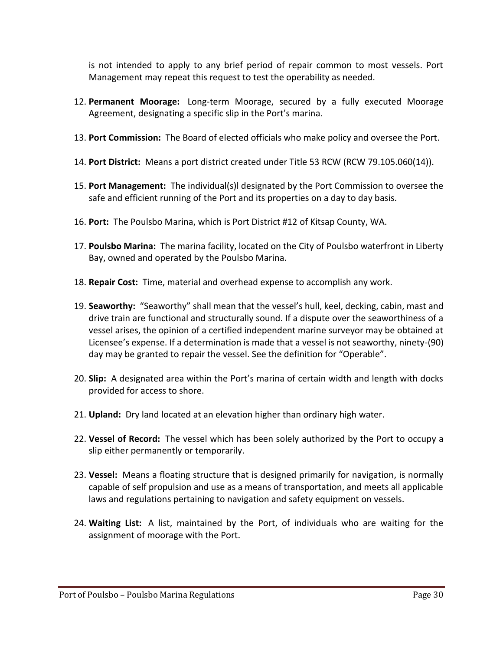is not intended to apply to any brief period of repair common to most vessels. Port Management may repeat this request to test the operability as needed.

- 12. **Permanent Moorage:** Long-term Moorage, secured by a fully executed Moorage Agreement, designating a specific slip in the Port's marina.
- 13. **Port Commission:** The Board of elected officials who make policy and oversee the Port.
- 14. **Port District:** Means a port district created under Title 53 RCW (RCW 79.105.060(14)).
- 15. **Port Management:** The individual(s)l designated by the Port Commission to oversee the safe and efficient running of the Port and its properties on a day to day basis.
- 16. **Port:** The Poulsbo Marina, which is Port District #12 of Kitsap County, WA.
- 17. **Poulsbo Marina:** The marina facility, located on the City of Poulsbo waterfront in Liberty Bay, owned and operated by the Poulsbo Marina.
- 18. **Repair Cost:** Time, material and overhead expense to accomplish any work.
- 19. **Seaworthy:** "Seaworthy" shall mean that the vessel's hull, keel, decking, cabin, mast and drive train are functional and structurally sound. If a dispute over the seaworthiness of a vessel arises, the opinion of a certified independent marine surveyor may be obtained at Licensee's expense. If a determination is made that a vessel is not seaworthy, ninety-(90) day may be granted to repair the vessel. See the definition for "Operable".
- 20. **Slip:** A designated area within the Port's marina of certain width and length with docks provided for access to shore.
- 21. **Upland:** Dry land located at an elevation higher than ordinary high water.
- 22. **Vessel of Record:** The vessel which has been solely authorized by the Port to occupy a slip either permanently or temporarily.
- 23. **Vessel:** Means a floating structure that is designed primarily for navigation, is normally capable of self propulsion and use as a means of transportation, and meets all applicable laws and regulations pertaining to navigation and safety equipment on vessels.
- 24. **Waiting List:** A list, maintained by the Port, of individuals who are waiting for the assignment of moorage with the Port.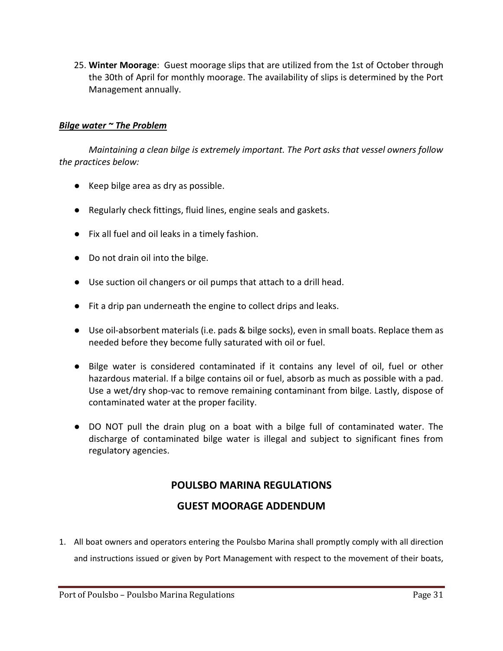25. **Winter Moorage**: Guest moorage slips that are utilized from the 1st of October through the 30th of April for monthly moorage. The availability of slips is determined by the Port Management annually.

## <span id="page-30-0"></span>*Bilge water ~ The Problem*

*Maintaining a clean bilge is extremely important. The Port asks that vessel owners follow the practices below:*

- Keep bilge area as dry as possible.
- Regularly check fittings, fluid lines, engine seals and gaskets.
- Fix all fuel and oil leaks in a timely fashion.
- Do not drain oil into the bilge.
- Use suction oil changers or oil pumps that attach to a drill head.
- Fit a drip pan underneath the engine to collect drips and leaks.
- Use oil-absorbent materials (i.e. pads & bilge socks), even in small boats. Replace them as needed before they become fully saturated with oil or fuel.
- Bilge water is considered contaminated if it contains any level of oil, fuel or other hazardous material. If a bilge contains oil or fuel, absorb as much as possible with a pad. Use a wet/dry shop-vac to remove remaining contaminant from bilge. Lastly, dispose of contaminated water at the proper facility.
- DO NOT pull the drain plug on a boat with a bilge full of contaminated water. The discharge of contaminated bilge water is illegal and subject to significant fines from regulatory agencies.

# **POULSBO MARINA REGULATIONS**

# **GUEST MOORAGE ADDENDUM**

<span id="page-30-1"></span>1. All boat owners and operators entering the Poulsbo Marina shall promptly comply with all direction and instructions issued or given by Port Management with respect to the movement of their boats,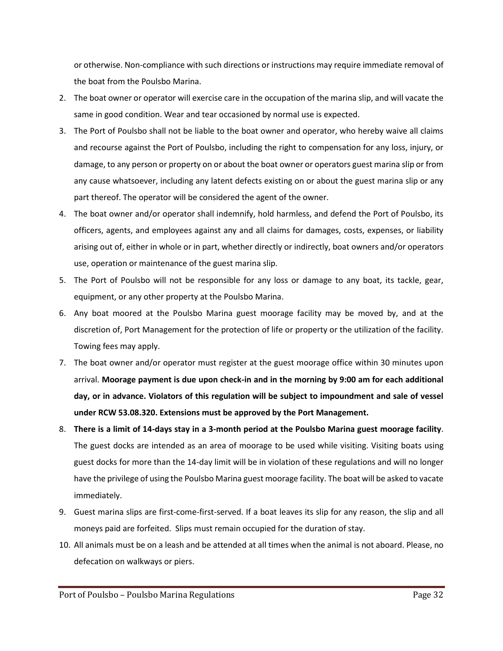or otherwise. Non-compliance with such directions or instructions may require immediate removal of the boat from the Poulsbo Marina.

- 2. The boat owner or operator will exercise care in the occupation of the marina slip, and will vacate the same in good condition. Wear and tear occasioned by normal use is expected.
- 3. The Port of Poulsbo shall not be liable to the boat owner and operator, who hereby waive all claims and recourse against the Port of Poulsbo, including the right to compensation for any loss, injury, or damage, to any person or property on or about the boat owner or operators guest marina slip or from any cause whatsoever, including any latent defects existing on or about the guest marina slip or any part thereof. The operator will be considered the agent of the owner.
- 4. The boat owner and/or operator shall indemnify, hold harmless, and defend the Port of Poulsbo, its officers, agents, and employees against any and all claims for damages, costs, expenses, or liability arising out of, either in whole or in part, whether directly or indirectly, boat owners and/or operators use, operation or maintenance of the guest marina slip.
- 5. The Port of Poulsbo will not be responsible for any loss or damage to any boat, its tackle, gear, equipment, or any other property at the Poulsbo Marina.
- 6. Any boat moored at the Poulsbo Marina guest moorage facility may be moved by, and at the discretion of, Port Management for the protection of life or property or the utilization of the facility. Towing fees may apply.
- 7. The boat owner and/or operator must register at the guest moorage office within 30 minutes upon arrival. **Moorage payment is due upon check-in and in the morning by 9:00 am for each additional day, or in advance. Violators of this regulation will be subject to impoundment and sale of vessel under RCW 53.08.320. Extensions must be approved by the Port Management.**
- 8. **There is a limit of 14-days stay in a 3-month period at the Poulsbo Marina guest moorage facility**. The guest docks are intended as an area of moorage to be used while visiting. Visiting boats using guest docks for more than the 14-day limit will be in violation of these regulations and will no longer have the privilege of using the Poulsbo Marina guest moorage facility. The boat will be asked to vacate immediately.
- 9. Guest marina slips are first-come-first-served. If a boat leaves its slip for any reason, the slip and all moneys paid are forfeited. Slips must remain occupied for the duration of stay.
- 10. All animals must be on a leash and be attended at all times when the animal is not aboard. Please, no defecation on walkways or piers.